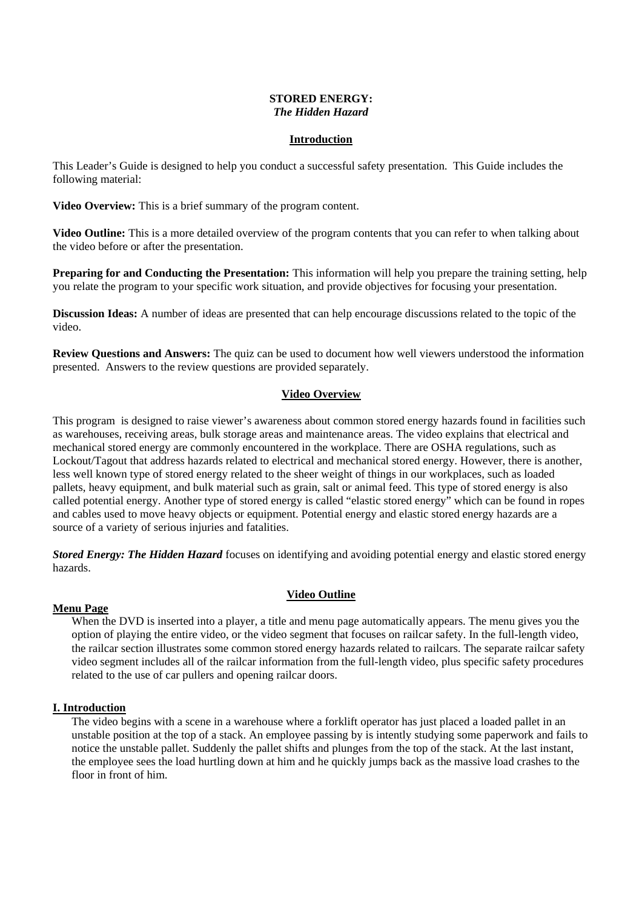#### **STORED ENERGY:** *The Hidden Hazard*

# **Introduction**

This Leader's Guide is designed to help you conduct a successful safety presentation. This Guide includes the following material:

**Video Overview:** This is a brief summary of the program content.

**Video Outline:** This is a more detailed overview of the program contents that you can refer to when talking about the video before or after the presentation.

**Preparing for and Conducting the Presentation:** This information will help you prepare the training setting, help you relate the program to your specific work situation, and provide objectives for focusing your presentation.

**Discussion Ideas:** A number of ideas are presented that can help encourage discussions related to the topic of the video.

**Review Questions and Answers:** The quiz can be used to document how well viewers understood the information presented. Answers to the review questions are provided separately.

#### **Video Overview**

This program is designed to raise viewer's awareness about common stored energy hazards found in facilities such as warehouses, receiving areas, bulk storage areas and maintenance areas. The video explains that electrical and mechanical stored energy are commonly encountered in the workplace. There are OSHA regulations, such as Lockout/Tagout that address hazards related to electrical and mechanical stored energy. However, there is another, less well known type of stored energy related to the sheer weight of things in our workplaces, such as loaded pallets, heavy equipment, and bulk material such as grain, salt or animal feed. This type of stored energy is also called potential energy. Another type of stored energy is called "elastic stored energy" which can be found in ropes and cables used to move heavy objects or equipment. Potential energy and elastic stored energy hazards are a source of a variety of serious injuries and fatalities.

*Stored Energy: The Hidden Hazard* focuses on identifying and avoiding potential energy and elastic stored energy hazards.

# **Video Outline**

# **Menu Page**

When the DVD is inserted into a player, a title and menu page automatically appears. The menu gives you the option of playing the entire video, or the video segment that focuses on railcar safety. In the full-length video, the railcar section illustrates some common stored energy hazards related to railcars. The separate railcar safety video segment includes all of the railcar information from the full-length video, plus specific safety procedures related to the use of car pullers and opening railcar doors.

# **I. Introduction**

The video begins with a scene in a warehouse where a forklift operator has just placed a loaded pallet in an unstable position at the top of a stack. An employee passing by is intently studying some paperwork and fails to notice the unstable pallet. Suddenly the pallet shifts and plunges from the top of the stack. At the last instant, the employee sees the load hurtling down at him and he quickly jumps back as the massive load crashes to the floor in front of him.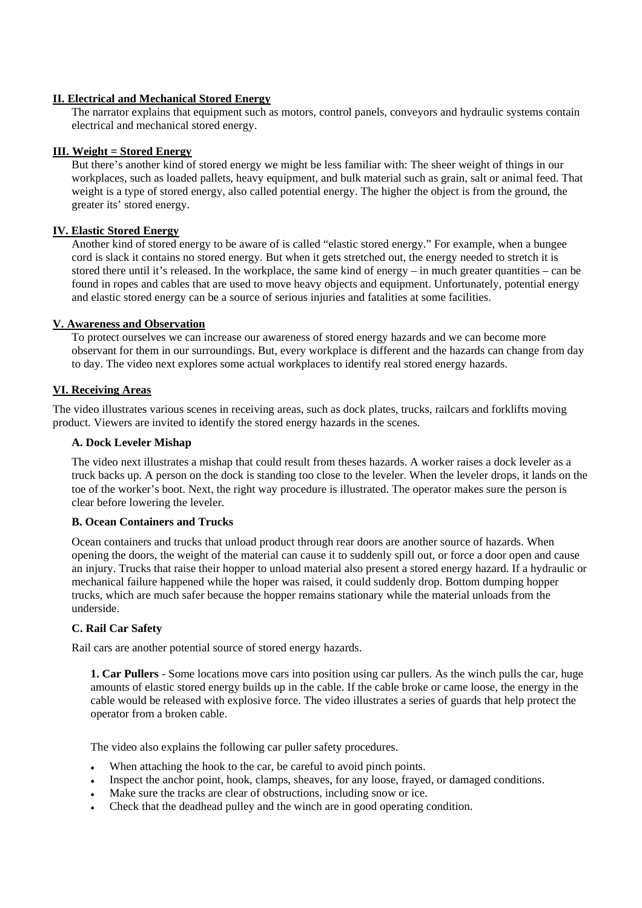# **II. Electrical and Mechanical Stored Energy**

The narrator explains that equipment such as motors, control panels, conveyors and hydraulic systems contain electrical and mechanical stored energy.

#### **III. Weight = Stored Energy**

But there's another kind of stored energy we might be less familiar with: The sheer weight of things in our workplaces, such as loaded pallets, heavy equipment, and bulk material such as grain, salt or animal feed. That weight is a type of stored energy, also called potential energy. The higher the object is from the ground, the greater its' stored energy.

# **IV. Elastic Stored Energy**

Another kind of stored energy to be aware of is called "elastic stored energy." For example, when a bungee cord is slack it contains no stored energy. But when it gets stretched out, the energy needed to stretch it is stored there until it's released. In the workplace, the same kind of energy – in much greater quantities – can be found in ropes and cables that are used to move heavy objects and equipment. Unfortunately, potential energy and elastic stored energy can be a source of serious injuries and fatalities at some facilities.

#### **V. Awareness and Observation**

To protect ourselves we can increase our awareness of stored energy hazards and we can become more observant for them in our surroundings. But, every workplace is different and the hazards can change from day to day. The video next explores some actual workplaces to identify real stored energy hazards.

#### **VI. Receiving Areas**

The video illustrates various scenes in receiving areas, such as dock plates, trucks, railcars and forklifts moving product. Viewers are invited to identify the stored energy hazards in the scenes.

# **A. Dock Leveler Mishap**

The video next illustrates a mishap that could result from theses hazards. A worker raises a dock leveler as a truck backs up. A person on the dock is standing too close to the leveler. When the leveler drops, it lands on the toe of the worker's boot. Next, the right way procedure is illustrated. The operator makes sure the person is clear before lowering the leveler.

#### **B. Ocean Containers and Trucks**

Ocean containers and trucks that unload product through rear doors are another source of hazards. When opening the doors, the weight of the material can cause it to suddenly spill out, or force a door open and cause an injury. Trucks that raise their hopper to unload material also present a stored energy hazard. If a hydraulic or mechanical failure happened while the hoper was raised, it could suddenly drop. Bottom dumping hopper trucks, which are much safer because the hopper remains stationary while the material unloads from the underside.

#### **C. Rail Car Safety**

Rail cars are another potential source of stored energy hazards.

**1. Car Pullers** - Some locations move cars into position using car pullers. As the winch pulls the car, huge amounts of elastic stored energy builds up in the cable. If the cable broke or came loose, the energy in the cable would be released with explosive force. The video illustrates a series of guards that help protect the operator from a broken cable.

The video also explains the following car puller safety procedures.

- When attaching the hook to the car, be careful to avoid pinch points.
- Inspect the anchor point, hook, clamps, sheaves, for any loose, frayed, or damaged conditions.
- Make sure the tracks are clear of obstructions, including snow or ice.
- Check that the deadhead pulley and the winch are in good operating condition.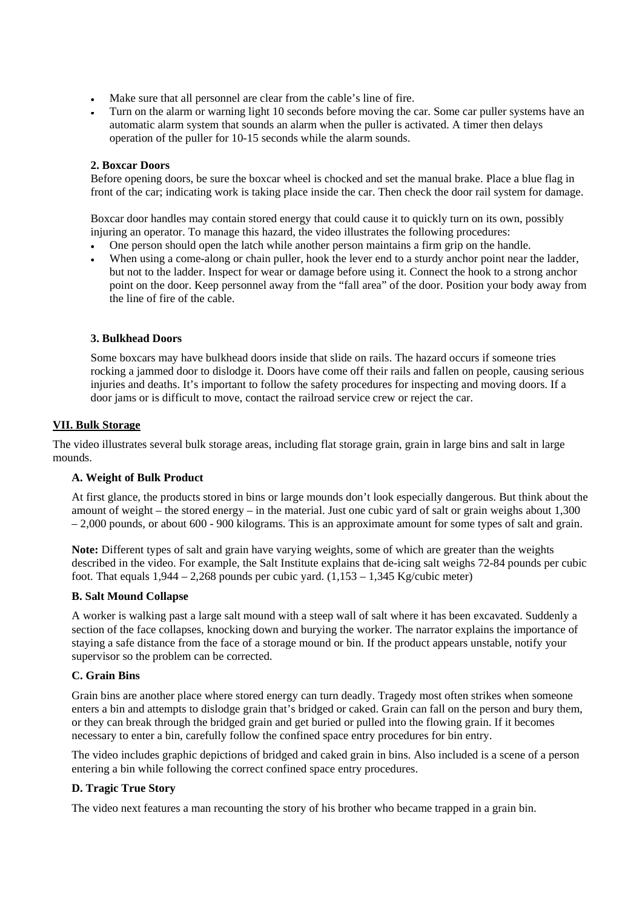- Make sure that all personnel are clear from the cable's line of fire.
- Turn on the alarm or warning light 10 seconds before moving the car. Some car puller systems have an automatic alarm system that sounds an alarm when the puller is activated. A timer then delays operation of the puller for 10-15 seconds while the alarm sounds.

#### **2. Boxcar Doors**

Before opening doors, be sure the boxcar wheel is chocked and set the manual brake. Place a blue flag in front of the car; indicating work is taking place inside the car. Then check the door rail system for damage.

Boxcar door handles may contain stored energy that could cause it to quickly turn on its own, possibly injuring an operator. To manage this hazard, the video illustrates the following procedures:

- One person should open the latch while another person maintains a firm grip on the handle.
- When using a come-along or chain puller, hook the lever end to a sturdy anchor point near the ladder, but not to the ladder. Inspect for wear or damage before using it. Connect the hook to a strong anchor point on the door. Keep personnel away from the "fall area" of the door. Position your body away from the line of fire of the cable.

#### **3. Bulkhead Doors**

Some boxcars may have bulkhead doors inside that slide on rails. The hazard occurs if someone tries rocking a jammed door to dislodge it. Doors have come off their rails and fallen on people, causing serious injuries and deaths. It's important to follow the safety procedures for inspecting and moving doors. If a door jams or is difficult to move, contact the railroad service crew or reject the car.

#### **VII. Bulk Storage**

The video illustrates several bulk storage areas, including flat storage grain, grain in large bins and salt in large mounds.

# **A. Weight of Bulk Product**

At first glance, the products stored in bins or large mounds don't look especially dangerous. But think about the amount of weight – the stored energy – in the material. Just one cubic yard of salt or grain weighs about 1,300 – 2,000 pounds, or about 600 - 900 kilograms. This is an approximate amount for some types of salt and grain.

**Note:** Different types of salt and grain have varying weights, some of which are greater than the weights described in the video. For example, the Salt Institute explains that de-icing salt weighs 72-84 pounds per cubic foot. That equals  $1,944 - 2,268$  pounds per cubic yard.  $(1,153 - 1,345 \text{ Kg/cubic meter})$ 

#### **B. Salt Mound Collapse**

A worker is walking past a large salt mound with a steep wall of salt where it has been excavated. Suddenly a section of the face collapses, knocking down and burying the worker. The narrator explains the importance of staying a safe distance from the face of a storage mound or bin. If the product appears unstable, notify your supervisor so the problem can be corrected.

#### **C. Grain Bins**

Grain bins are another place where stored energy can turn deadly. Tragedy most often strikes when someone enters a bin and attempts to dislodge grain that's bridged or caked. Grain can fall on the person and bury them, or they can break through the bridged grain and get buried or pulled into the flowing grain. If it becomes necessary to enter a bin, carefully follow the confined space entry procedures for bin entry.

The video includes graphic depictions of bridged and caked grain in bins. Also included is a scene of a person entering a bin while following the correct confined space entry procedures.

# **D. Tragic True Story**

The video next features a man recounting the story of his brother who became trapped in a grain bin.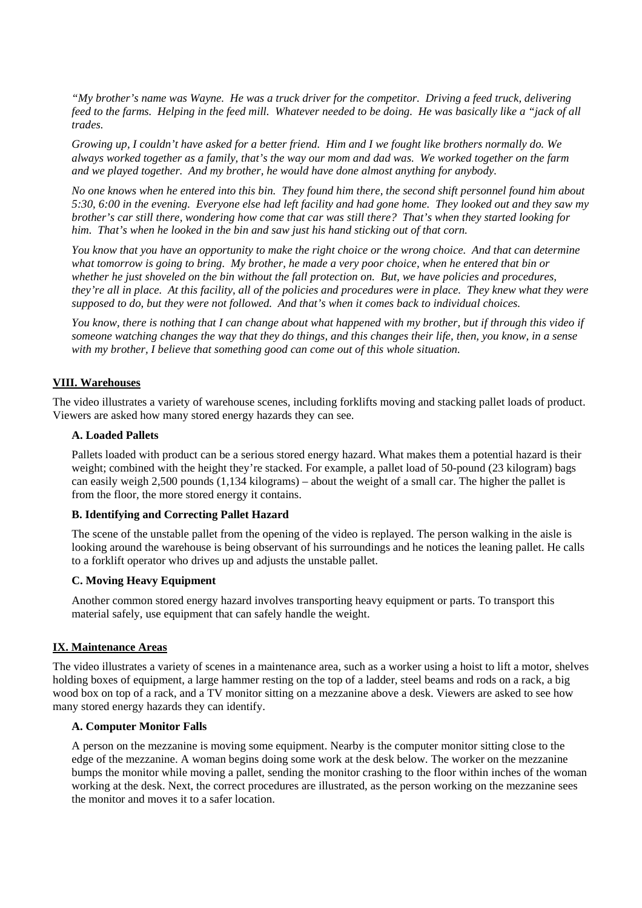*"My brother's name was Wayne. He was a truck driver for the competitor. Driving a feed truck, delivering feed to the farms. Helping in the feed mill. Whatever needed to be doing. He was basically like a "jack of all trades.*

*Growing up, I couldn't have asked for a better friend. Him and I we fought like brothers normally do. We always worked together as a family, that's the way our mom and dad was. We worked together on the farm and we played together. And my brother, he would have done almost anything for anybody.*

*No one knows when he entered into this bin. They found him there, the second shift personnel found him about 5:30, 6:00 in the evening. Everyone else had left facility and had gone home. They looked out and they saw my brother's car still there, wondering how come that car was still there? That's when they started looking for him. That's when he looked in the bin and saw just his hand sticking out of that corn.*

*You know that you have an opportunity to make the right choice or the wrong choice. And that can determine what tomorrow is going to bring. My brother, he made a very poor choice, when he entered that bin or whether he just shoveled on the bin without the fall protection on. But, we have policies and procedures, they're all in place. At this facility, all of the policies and procedures were in place. They knew what they were supposed to do, but they were not followed. And that's when it comes back to individual choices.*

*You know, there is nothing that I can change about what happened with my brother, but if through this video if someone watching changes the way that they do things, and this changes their life, then, you know, in a sense with my brother, I believe that something good can come out of this whole situation.*

# **VIII. Warehouses**

The video illustrates a variety of warehouse scenes, including forklifts moving and stacking pallet loads of product. Viewers are asked how many stored energy hazards they can see.

#### **A. Loaded Pallets**

Pallets loaded with product can be a serious stored energy hazard. What makes them a potential hazard is their weight; combined with the height they're stacked. For example, a pallet load of 50-pound (23 kilogram) bags can easily weigh 2,500 pounds (1,134 kilograms) – about the weight of a small car. The higher the pallet is from the floor, the more stored energy it contains.

# **B. Identifying and Correcting Pallet Hazard**

The scene of the unstable pallet from the opening of the video is replayed. The person walking in the aisle is looking around the warehouse is being observant of his surroundings and he notices the leaning pallet. He calls to a forklift operator who drives up and adjusts the unstable pallet.

# **C. Moving Heavy Equipment**

Another common stored energy hazard involves transporting heavy equipment or parts. To transport this material safely, use equipment that can safely handle the weight.

# **IX. Maintenance Areas**

The video illustrates a variety of scenes in a maintenance area, such as a worker using a hoist to lift a motor, shelves holding boxes of equipment, a large hammer resting on the top of a ladder, steel beams and rods on a rack, a big wood box on top of a rack, and a TV monitor sitting on a mezzanine above a desk. Viewers are asked to see how many stored energy hazards they can identify.

#### **A. Computer Monitor Falls**

A person on the mezzanine is moving some equipment. Nearby is the computer monitor sitting close to the edge of the mezzanine. A woman begins doing some work at the desk below. The worker on the mezzanine bumps the monitor while moving a pallet, sending the monitor crashing to the floor within inches of the woman working at the desk. Next, the correct procedures are illustrated, as the person working on the mezzanine sees the monitor and moves it to a safer location.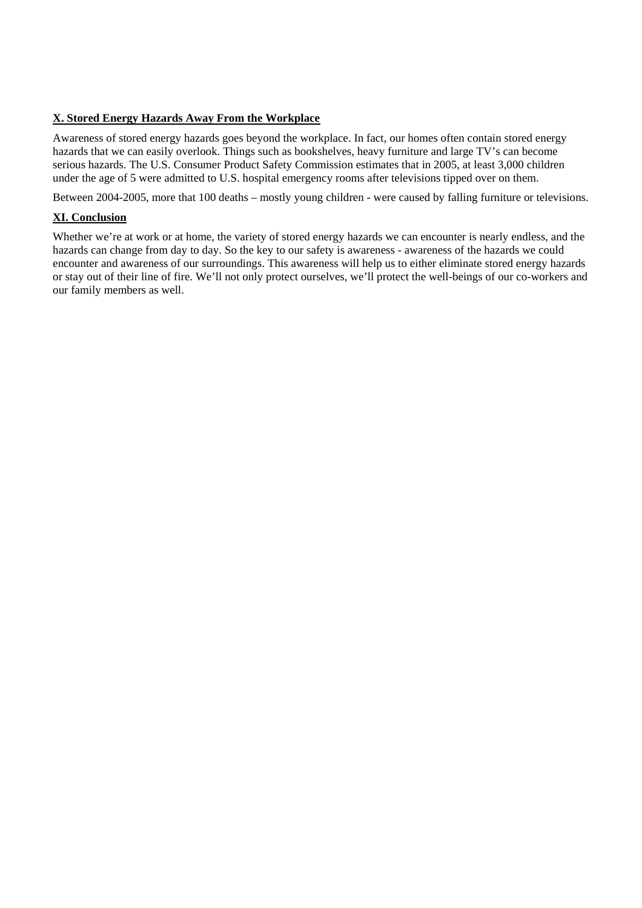# **X. Stored Energy Hazards Away From the Workplace**

Awareness of stored energy hazards goes beyond the workplace. In fact, our homes often contain stored energy hazards that we can easily overlook. Things such as bookshelves, heavy furniture and large TV's can become serious hazards. The U.S. Consumer Product Safety Commission estimates that in 2005, at least 3,000 children under the age of 5 were admitted to U.S. hospital emergency rooms after televisions tipped over on them.

Between 2004-2005, more that 100 deaths – mostly young children - were caused by falling furniture or televisions.

# **XI. Conclusion**

Whether we're at work or at home, the variety of stored energy hazards we can encounter is nearly endless, and the hazards can change from day to day. So the key to our safety is awareness - awareness of the hazards we could encounter and awareness of our surroundings. This awareness will help us to either eliminate stored energy hazards or stay out of their line of fire. We'll not only protect ourselves, we'll protect the well-beings of our co-workers and our family members as well.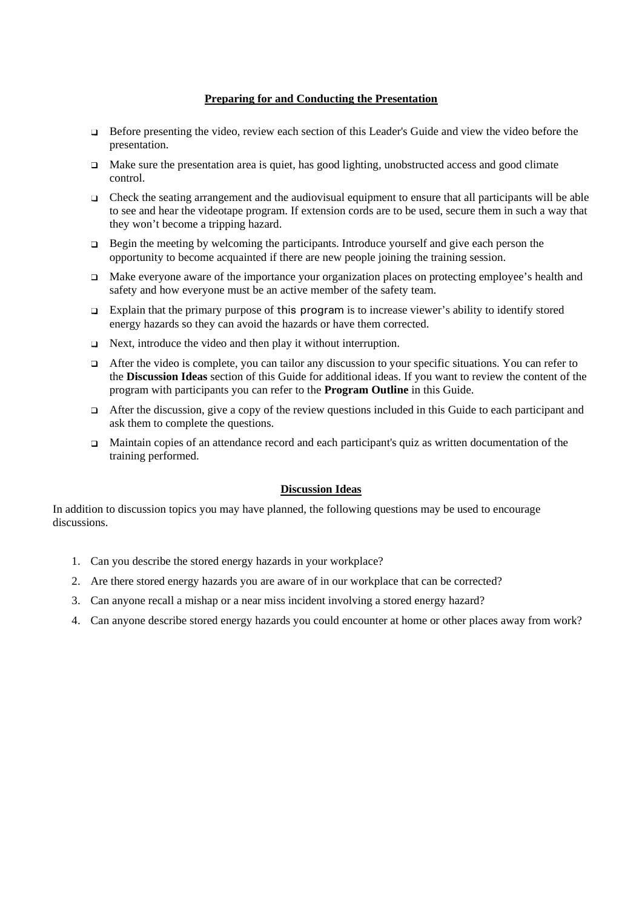#### **Preparing for and Conducting the Presentation**

- Before presenting the video, review each section of this Leader's Guide and view the video before the  $\Box$ presentation.
- $\Box$  Make sure the presentation area is quiet, has good lighting, unobstructed access and good climate control.
- $\Box$  Check the seating arrangement and the audiovisual equipment to ensure that all participants will be able to see and hear the videotape program. If extension cords are to be used, secure them in such a way that they won't become a tripping hazard.
- $\Box$  Begin the meeting by welcoming the participants. Introduce yourself and give each person the opportunity to become acquainted if there are new people joining the training session.
- □ Make everyone aware of the importance your organization places on protecting employee's health and safety and how everyone must be an active member of the safety team.
- $\Box$  Explain that the primary purpose of this program is to increase viewer's ability to identify stored energy hazards so they can avoid the hazards or have them corrected.
- $\Box$  Next, introduce the video and then play it without interruption.
- $\Box$  After the video is complete, you can tailor any discussion to your specific situations. You can refer to the **Discussion Ideas** section of this Guide for additional ideas. If you want to review the content of the program with participants you can refer to the **Program Outline** in this Guide.
- $\Box$  After the discussion, give a copy of the review questions included in this Guide to each participant and ask them to complete the questions.
- $\Box$  Maintain copies of an attendance record and each participant's quiz as written documentation of the training performed.

# **Discussion Ideas**

In addition to discussion topics you may have planned, the following questions may be used to encourage discussions.

- 1. Can you describe the stored energy hazards in your workplace?
- 2. Are there stored energy hazards you are aware of in our workplace that can be corrected?
- 3. Can anyone recall a mishap or a near miss incident involving a stored energy hazard?
- 4. Can anyone describe stored energy hazards you could encounter at home or other places away from work?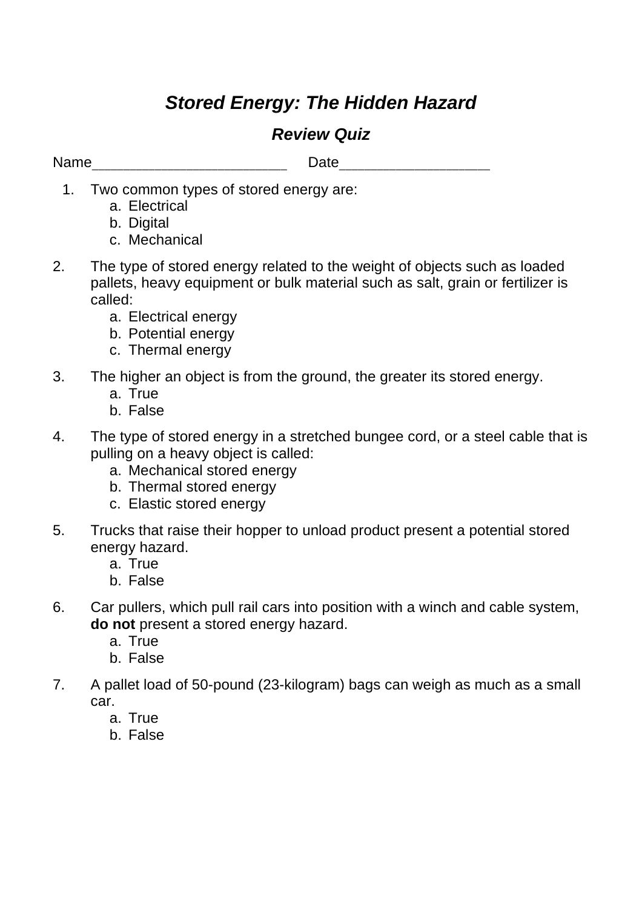# *Stored Energy: The Hidden Hazard*

# *Review Quiz*

Name **Name Name Name Name Date Date** *Name* **Date** *Name Name Name Name Name Name Name Name Name Name NAME NAME NAME NAME NAME NAME NAME NAME* 

- 1. Two common types of stored energy are:
	- a. Electrical
	- b. Digital
	- c. Mechanical
- 2. The type of stored energy related to the weight of objects such as loaded pallets, heavy equipment or bulk material such as salt, grain or fertilizer is called:
	- a. Electrical energy
	- b. Potential energy
	- c. Thermal energy
- 3. The higher an object is from the ground, the greater its stored energy.
	- a. True
	- b. False
- 4. The type of stored energy in a stretched bungee cord, or a steel cable that is pulling on a heavy object is called:
	- a. Mechanical stored energy
	- b. Thermal stored energy
	- c. Elastic stored energy
- 5. Trucks that raise their hopper to unload product present a potential stored energy hazard.
	- a. True
	- b. False
- 6. Car pullers, which pull rail cars into position with a winch and cable system, **do not** present a stored energy hazard.
	- a. True
	- b. False
- 7. A pallet load of 50-pound (23-kilogram) bags can weigh as much as a small car.
	- a. True
	- b. False